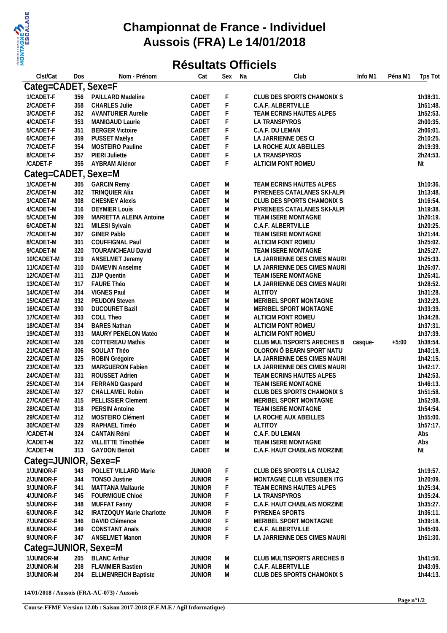

## **Championnat de France - Individuel Aussois (FRA) Le 14/01/2018**

## **Résultats Officiels**

| Clst/Cat             | Dos | Nom - Prénom                | Cat           | Sex | Na | Club                         | Info M1 | Péna M1 | Tps Tot  |
|----------------------|-----|-----------------------------|---------------|-----|----|------------------------------|---------|---------|----------|
| Categ=CADET, Sexe=F  |     |                             |               |     |    |                              |         |         |          |
| 1/CADET-F            | 356 | PAILLARD Madeline           | CADET         | F   |    | CLUB DES SPORTS CHAMONIX S   |         |         | 1h38:31. |
| 2/CADET-F            | 358 | <b>CHARLES Julie</b>        | CADET         | F   |    | C.A.F. ALBERTVILLE           |         |         | 1h51:48. |
| 3/CADET-F            | 352 | <b>AVANTURIER Aurelie</b>   | CADET         | F   |    | TEAM ECRINS HAUTES ALPES     |         |         | 1h52:53. |
| 4/CADET-F            | 353 | MANIGAUD Laurie             | CADET         | F   |    | LA TRANSPYROS                |         |         | 2h00:35. |
| 5/CADET-F            | 351 | <b>BERGER Victoire</b>      | CADET         | F   |    | C.A.F. DU LEMAN              |         |         | 2h06:01. |
| 6/CADET-F            | 359 | PUSSET Maëlys               | CADET         | F   |    | LA JARRIENNE DES CI          |         |         | 2h10:25. |
| 7/CADET-F            | 354 | MOSTEIRO Pauline            | CADET         | F   |    | LA ROCHE AUX ABEILLES        |         |         | 2h19:39. |
| 8/CADET-F            | 357 | PIERI Juliette              | CADET         | F   |    | LA TRANSPYROS                |         |         | 2h24:53. |
| /CADET-F             | 355 | AYBRAM Aliénor              | CADET         | F   |    | ALTICIM FONT ROMEU           |         |         | Nt       |
|                      |     |                             |               |     |    |                              |         |         |          |
| Categ=CADET, Sexe=M  |     |                             |               |     |    |                              |         |         |          |
| 1/CADET-M            | 305 | <b>GARCIN Remy</b>          | CADET         | Μ   |    | TEAM ECRINS HAUTES ALPES     |         |         | 1h10:36. |
| 2/CADET-M            | 302 | TRINQUIER Alix              | CADET         | M   |    | PYRENEES CATALANES SKI-ALPI  |         |         | 1h13:48. |
| 3/CADET-M            | 308 | <b>CHESNEY Alexis</b>       | CADET         | Μ   |    | CLUB DES SPORTS CHAMONIX S   |         |         | 1h16:54. |
| 4/CADET-M            | 316 | <b>DEYMIER Louis</b>        | CADET         | Μ   |    | PYRENEES CATALANES SKI-ALPI  |         |         | 1h19:38. |
| 5/CADET-M            | 309 | MARIETTA ALEINA Antoine     | CADET         | Μ   |    | TEAM ISERE MONTAGNE          |         |         | 1h20:19. |
| 6/CADET-M            | 321 | MILESI Sylvain              | CADET         | Μ   |    | C.A.F. ALBERTVILLE           |         |         | 1h20:25. |
| 7/CADET-M            | 307 | <b>GINER Pablo</b>          | CADET         | Μ   |    | TEAM ISERE MONTAGNE          |         |         | 1h21:44. |
| 8/CADET-M            | 301 | COUFFIGNAL Paul             | CADET         | Μ   |    | ALTICIM FONT ROMEU           |         |         | 1h25:02. |
| 9/CADET-M            | 320 | TOURANCHEAU David           | CADET         | Μ   |    | TEAM ISERE MONTAGNE          |         |         | 1h25:27. |
| 10/CADET-M           | 319 | ANSELMET Jeremy             | CADET         | Μ   |    | LA JARRIENNE DES CIMES MAURI |         |         | 1h25:33. |
| 11/CADET-M           | 310 | DAMEVIN Anselme             | CADET         | Μ   |    | LA JARRIENNE DES CIMES MAURI |         |         | 1h26:07. |
| 12/CADET-M           | 311 | ZIJP Quentin                | CADET         | Μ   |    | TEAM ISERE MONTAGNE          |         |         | 1h26:41. |
| 13/CADET-M           | 317 | FAURE Théo                  | CADET         | M   |    | LA JARRIENNE DES CIMES MAURI |         |         | 1h28:52. |
| 14/CADET-M           | 304 | <b>VIGNES Paul</b>          | CADET         | Μ   |    | <b>ALTITOY</b>               |         |         | 1h31:28. |
| 15/CADET-M           | 332 | PEUDON Steven               | CADET         | M   |    | MERIBEL SPORT MONTAGNE       |         |         | 1h32:23. |
| 16/CADET-M           | 330 | <b>DUCOURET Bazil</b>       | CADET         | Μ   |    | MERIBEL SPORT MONTAGNE       |         |         | 1h33:39. |
| 17/CADET-M           | 303 | COLL Theo                   | CADET         | Μ   |    | ALTICIM FONT ROMEU           |         |         | 1h34:28. |
| 18/CADET-M           | 334 | <b>BARES Nathan</b>         | CADET         | Μ   |    | ALTICIM FONT ROMEU           |         |         | 1h37:31. |
| 19/CADET-M           | 333 | MAURY PENELON Matéo         | CADET         | Μ   |    | ALTICIM FONT ROMEU           |         |         | 1h37:39. |
| 20/CADET-M           | 326 | <b>COTTEREAU Mathis</b>     | CADET         | Μ   |    | CLUB MULTISPORTS ARECHES B   | casque- | $+5:00$ | 1h38:54. |
| 21/CADET-M           | 306 | SOULAT Théo                 | CADET         | M   |    | OLORON Ô BEARN SPORT NATU    |         |         | 1h40:19. |
| 22/CADET-M           | 325 | ROBIN Grégoire              | CADET         | Μ   |    | LA JARRIENNE DES CIMES MAURI |         |         | 1h42:15. |
| 23/CADET-M           | 323 | MARGUERON Fabien            | CADET         | Μ   |    | LA JARRIENNE DES CIMES MAURI |         |         | 1h42:17. |
| 24/CADET-M           | 331 | ROUSSET Adrien              | CADET         | Μ   |    | TEAM ECRINS HAUTES ALPES     |         |         | 1h42:53. |
| 25/CADET-M           | 314 | FERRAND Gaspard             | CADET         | M   |    | TEAM ISERE MONTAGNE          |         |         | 1h46:13. |
| 26/CADET-M           | 327 | CHALLAMEL Robin             | CADET         | M   |    | CLUB DES SPORTS CHAMONIX S   |         |         | 1h51:58. |
| 27/CADET-M           | 315 | PELLISSIER Clement          | CADET         | M   |    | MERIBEL SPORT MONTAGNE       |         |         | 1h52:08. |
| 28/CADET-M           |     | 318 PERSIN Antoine          | CADET         | Μ   |    | TEAM ISERE MONTAGNE          |         |         | 1h54:54. |
| 29/CADET-M           | 312 | MOSTEIRO Clément            | CADET         | M   |    | LA ROCHE AUX ABEILLES        |         |         | 1h55:00. |
| 30/CADET-M           | 329 | RAPHAEL Timéo               | CADET         | M   |    | <b>ALTITOY</b>               |         |         | 1h57:17. |
| /CADET-M             | 324 | CANTAN Rémi                 | CADET         | M   |    | C.A.F. DU LEMAN              |         |         | Abs      |
| /CADET-M             | 322 | VILLETTE Timothée           | CADET         | M   |    | TEAM ISERE MONTAGNE          |         |         | Abs      |
| /CADET-M             | 313 | <b>GAYDON Benoit</b>        | CADET         | M   |    | C.A.F. HAUT CHABLAIS MORZINE |         |         | Nt       |
| Categ=JUNIOR, Sexe=F |     |                             |               |     |    |                              |         |         |          |
| 1/JUNIOR-F           | 343 | POLLET VILLARD Marie        |               |     |    | CLUB DES SPORTS LA CLUSAZ    |         |         | 1h19:57. |
|                      |     |                             | <b>JUNIOR</b> |     |    |                              |         |         |          |
| 2/JUNIOR-F           | 344 | TONSO Justine               | <b>JUNIOR</b> |     |    | MONTAGNE CLUB VESUBIEN ITG   |         |         | 1h20:09. |
| 3/JUNIOR-F           | 341 | MATTANA Mallaurie           | <b>JUNIOR</b> |     |    | TEAM ECRINS HAUTES ALPES     |         |         | 1h25:34. |
| 4/JUNIOR-F           | 345 | FOURMIGUE Chloé             | <b>JUNIOR</b> |     |    | LA TRANSPYROS                |         |         | 1h35:24. |
| 5/JUNIOR-F           | 348 | MUFFAT Fanny                | <b>JUNIOR</b> |     |    | C.A.F. HAUT CHABLAIS MORZINE |         |         | 1h35:27. |
| 6/JUNIOR-F           | 342 | IRATZOQUY Marie Charlotte   | <b>JUNIOR</b> | F   |    | PYRENEA SPORTS               |         |         | 1h36:11. |
| 7/JUNIOR-F           | 346 | DAVID Clémence              | <b>JUNIOR</b> |     |    | MERIBEL SPORT MONTAGNE       |         |         | 1h39:18. |
| 8/JUNIOR-F           | 349 | <b>CONSTANT Anaïs</b>       | <b>JUNIOR</b> |     |    | C.A.F. ALBERTVILLE           |         |         | 1h45:09. |
| 9/JUNIOR-F           | 347 | ANSELMET Manon              | <b>JUNIOR</b> | F.  |    | LA JARRIENNE DES CIMES MAURI |         |         | 1h51:30. |
| Categ=JUNIOR, Sexe=M |     |                             |               |     |    |                              |         |         |          |
| 1/JUNIOR-M           | 205 | <b>BLANC Arthur</b>         | <b>JUNIOR</b> | M   |    | CLUB MULTISPORTS ARECHES B   |         |         | 1h41:50. |
| 2/JUNIOR-M           | 208 | <b>FLAMMIER Bastien</b>     | <b>JUNIOR</b> | M   |    | C.A.F. ALBERTVILLE           |         |         | 1h43:09. |
| 3/JUNIOR-M           | 204 | <b>ELLMENREICH Baptiste</b> | <b>JUNIOR</b> | M   |    | CLUB DES SPORTS CHAMONIX S   |         |         | 1h44:13. |
|                      |     |                             |               |     |    |                              |         |         |          |

**14/01/2018 / Aussois (FRA-AU-073) / Aussois**